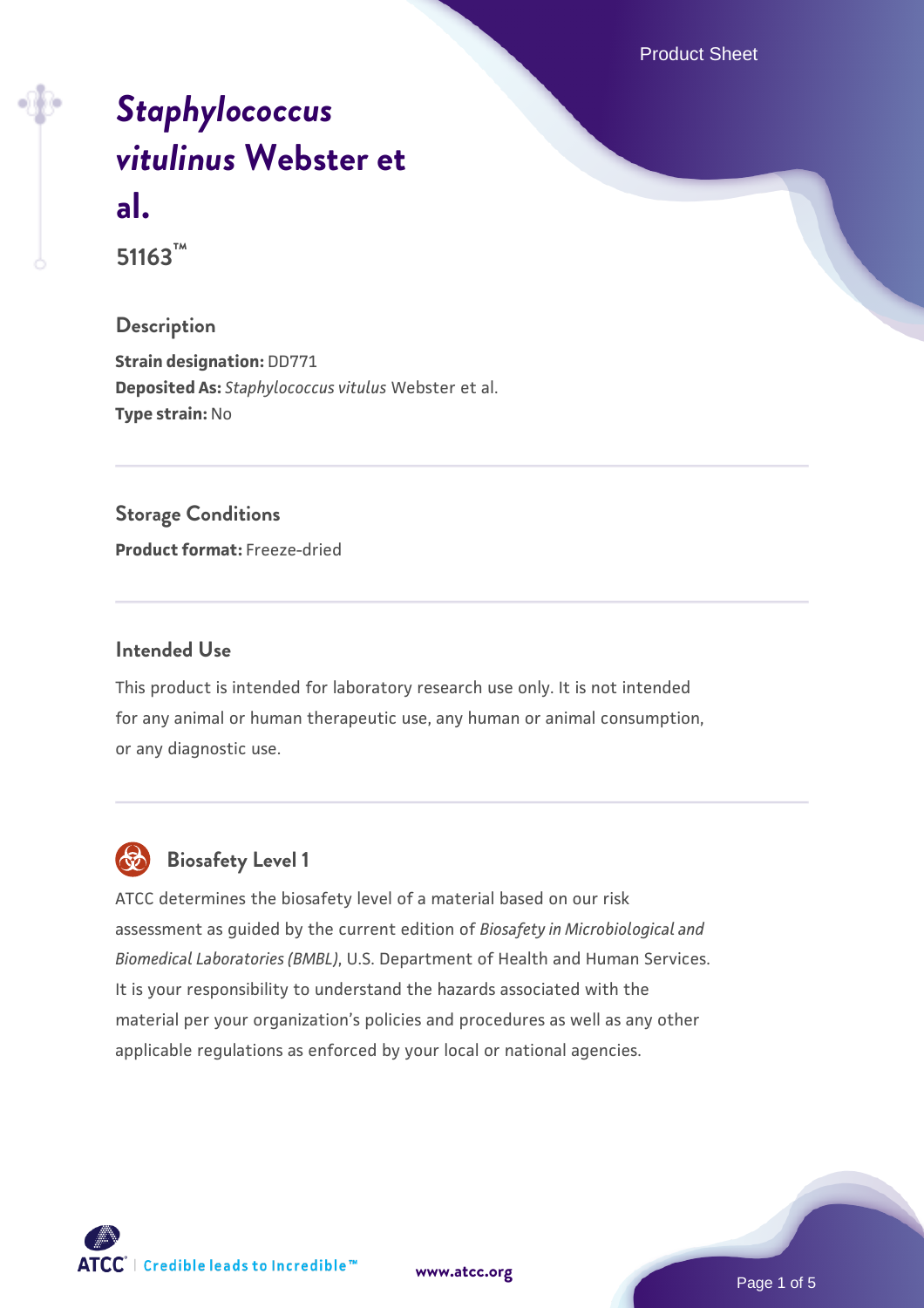Product Sheet

# *[Staphylococcus](https://www.atcc.org/products/51163) [vitulinus](https://www.atcc.org/products/51163)* **[Webster et](https://www.atcc.org/products/51163) [al.](https://www.atcc.org/products/51163)**

**51163™**

#### **Description**

**Strain designation:** DD771 **Deposited As:** *Staphylococcus vitulus* Webster et al. **Type strain:** No

#### **Storage Conditions**

**Product format:** Freeze-dried

#### **Intended Use**

This product is intended for laboratory research use only. It is not intended for any animal or human therapeutic use, any human or animal consumption, or any diagnostic use.



# **Biosafety Level 1**

ATCC determines the biosafety level of a material based on our risk assessment as guided by the current edition of *Biosafety in Microbiological and Biomedical Laboratories (BMBL)*, U.S. Department of Health and Human Services. It is your responsibility to understand the hazards associated with the material per your organization's policies and procedures as well as any other applicable regulations as enforced by your local or national agencies.

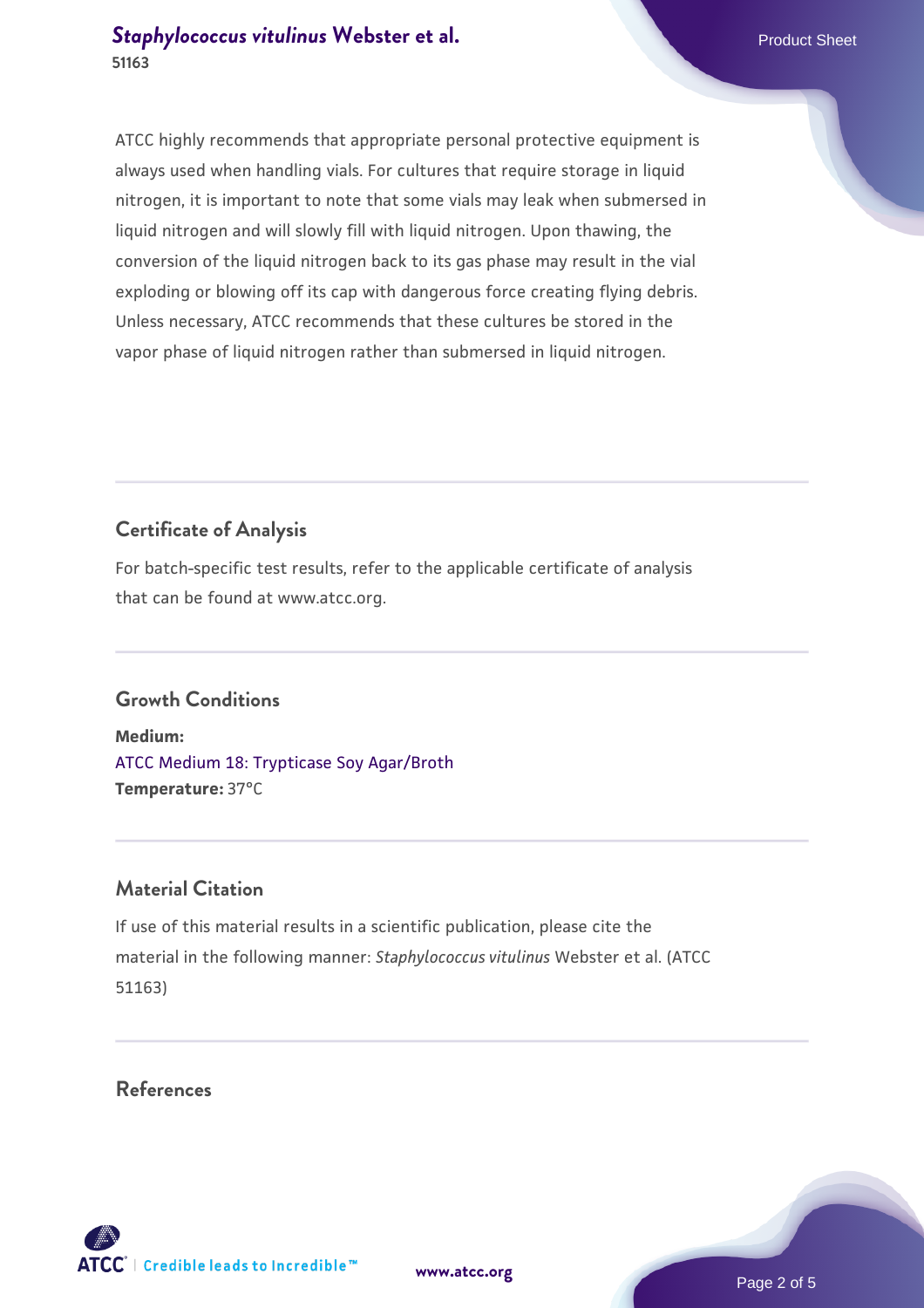ATCC highly recommends that appropriate personal protective equipment is always used when handling vials. For cultures that require storage in liquid nitrogen, it is important to note that some vials may leak when submersed in liquid nitrogen and will slowly fill with liquid nitrogen. Upon thawing, the conversion of the liquid nitrogen back to its gas phase may result in the vial exploding or blowing off its cap with dangerous force creating flying debris. Unless necessary, ATCC recommends that these cultures be stored in the vapor phase of liquid nitrogen rather than submersed in liquid nitrogen.

# **Certificate of Analysis**

For batch-specific test results, refer to the applicable certificate of analysis that can be found at www.atcc.org.

# **Growth Conditions**

**Medium:**  [ATCC Medium 18: Trypticase Soy Agar/Broth](https://www.atcc.org/-/media/product-assets/documents/microbial-media-formulations/1/8/atcc-medium-18.pdf?rev=832846e1425841f19fc70569848edae7) **Temperature:** 37°C

#### **Material Citation**

If use of this material results in a scientific publication, please cite the material in the following manner: *Staphylococcus vitulinus* Webster et al. (ATCC 51163)

**References**

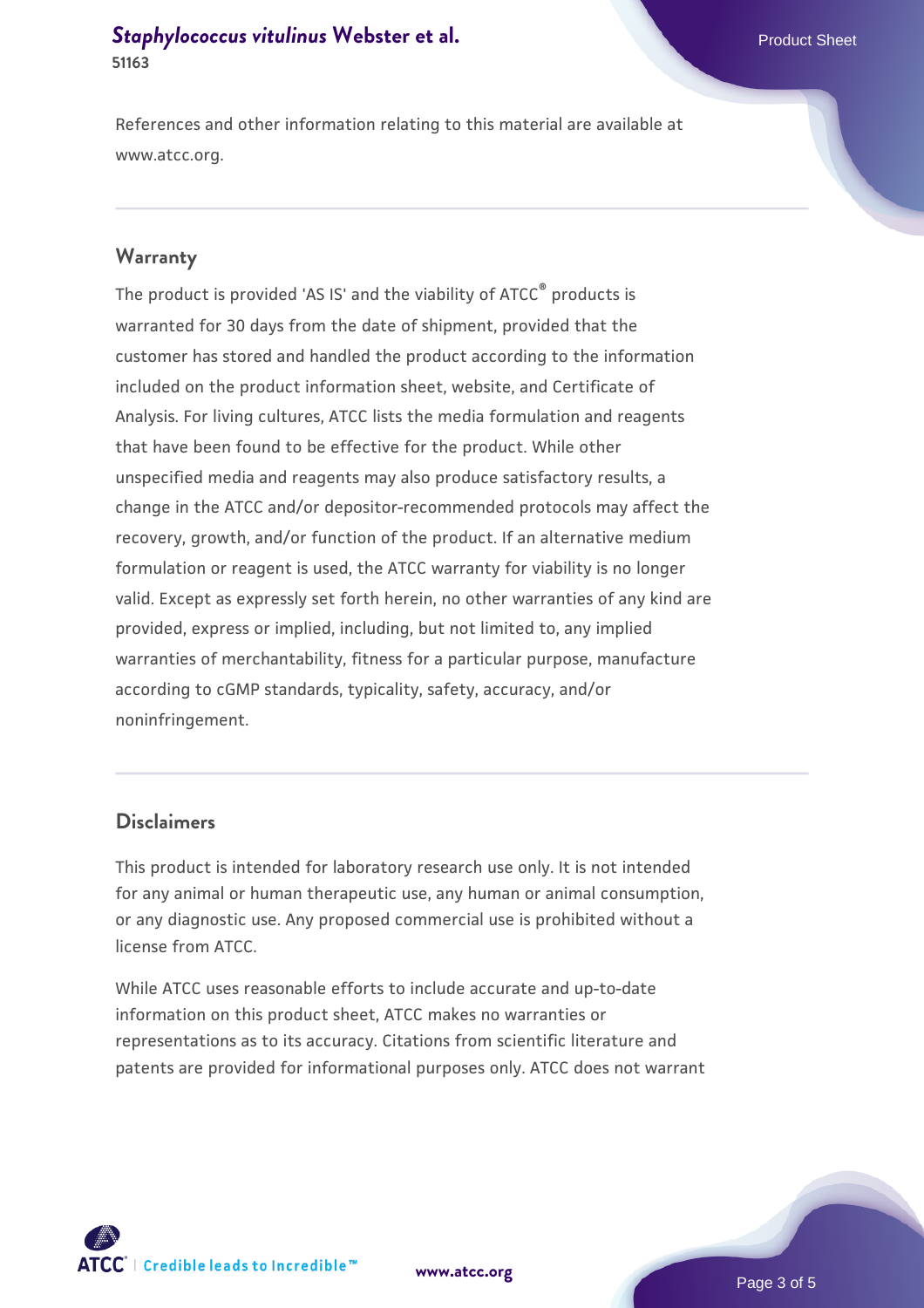References and other information relating to this material are available at www.atcc.org.

#### **Warranty**

The product is provided 'AS IS' and the viability of ATCC® products is warranted for 30 days from the date of shipment, provided that the customer has stored and handled the product according to the information included on the product information sheet, website, and Certificate of Analysis. For living cultures, ATCC lists the media formulation and reagents that have been found to be effective for the product. While other unspecified media and reagents may also produce satisfactory results, a change in the ATCC and/or depositor-recommended protocols may affect the recovery, growth, and/or function of the product. If an alternative medium formulation or reagent is used, the ATCC warranty for viability is no longer valid. Except as expressly set forth herein, no other warranties of any kind are provided, express or implied, including, but not limited to, any implied warranties of merchantability, fitness for a particular purpose, manufacture according to cGMP standards, typicality, safety, accuracy, and/or noninfringement.

#### **Disclaimers**

This product is intended for laboratory research use only. It is not intended for any animal or human therapeutic use, any human or animal consumption, or any diagnostic use. Any proposed commercial use is prohibited without a license from ATCC.

While ATCC uses reasonable efforts to include accurate and up-to-date information on this product sheet, ATCC makes no warranties or representations as to its accuracy. Citations from scientific literature and patents are provided for informational purposes only. ATCC does not warrant





Page 3 of 5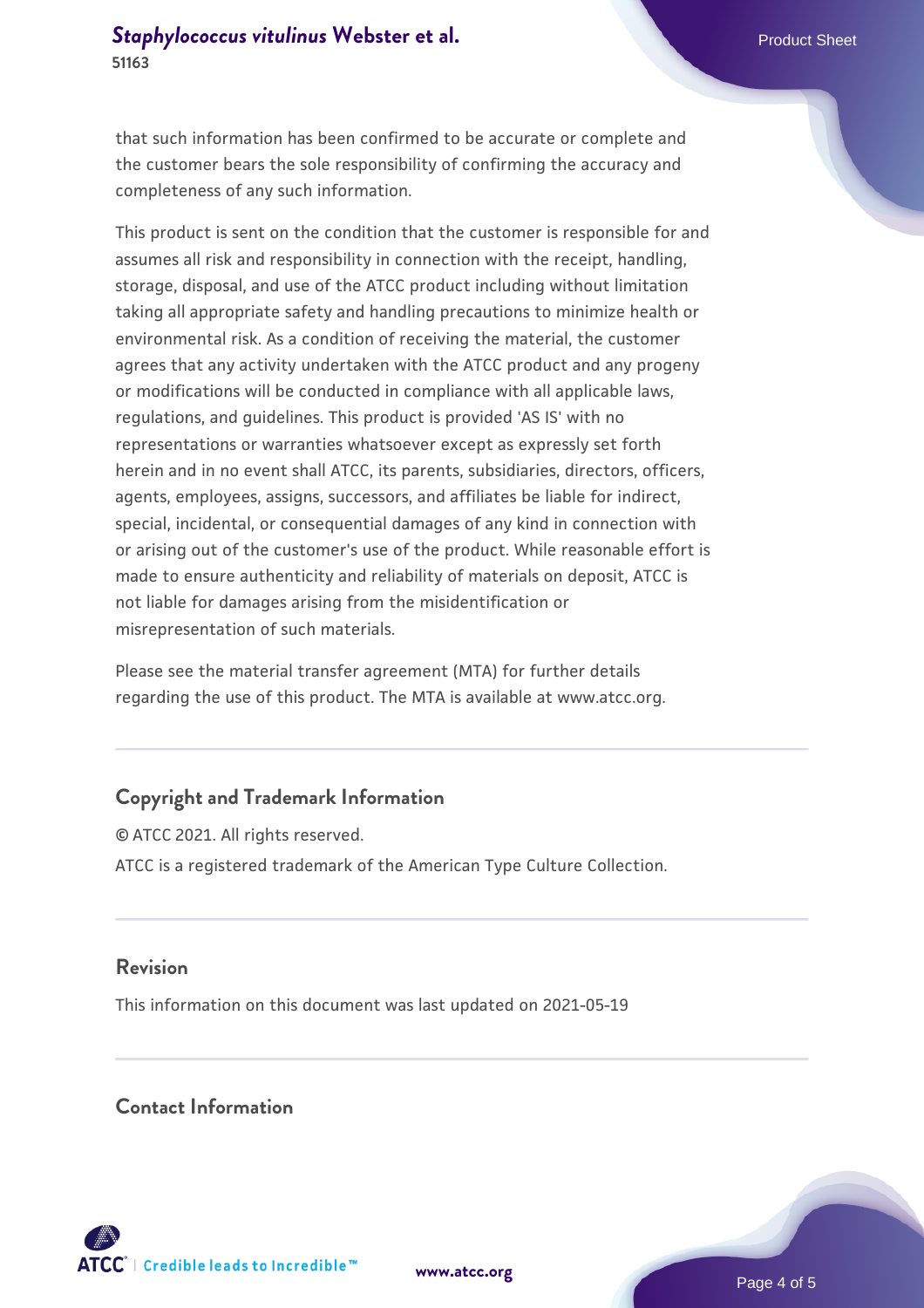that such information has been confirmed to be accurate or complete and the customer bears the sole responsibility of confirming the accuracy and completeness of any such information.

This product is sent on the condition that the customer is responsible for and assumes all risk and responsibility in connection with the receipt, handling, storage, disposal, and use of the ATCC product including without limitation taking all appropriate safety and handling precautions to minimize health or environmental risk. As a condition of receiving the material, the customer agrees that any activity undertaken with the ATCC product and any progeny or modifications will be conducted in compliance with all applicable laws, regulations, and guidelines. This product is provided 'AS IS' with no representations or warranties whatsoever except as expressly set forth herein and in no event shall ATCC, its parents, subsidiaries, directors, officers, agents, employees, assigns, successors, and affiliates be liable for indirect, special, incidental, or consequential damages of any kind in connection with or arising out of the customer's use of the product. While reasonable effort is made to ensure authenticity and reliability of materials on deposit, ATCC is not liable for damages arising from the misidentification or misrepresentation of such materials.

Please see the material transfer agreement (MTA) for further details regarding the use of this product. The MTA is available at www.atcc.org.

#### **Copyright and Trademark Information**

© ATCC 2021. All rights reserved. ATCC is a registered trademark of the American Type Culture Collection.

#### **Revision**

This information on this document was last updated on 2021-05-19

#### **Contact Information**